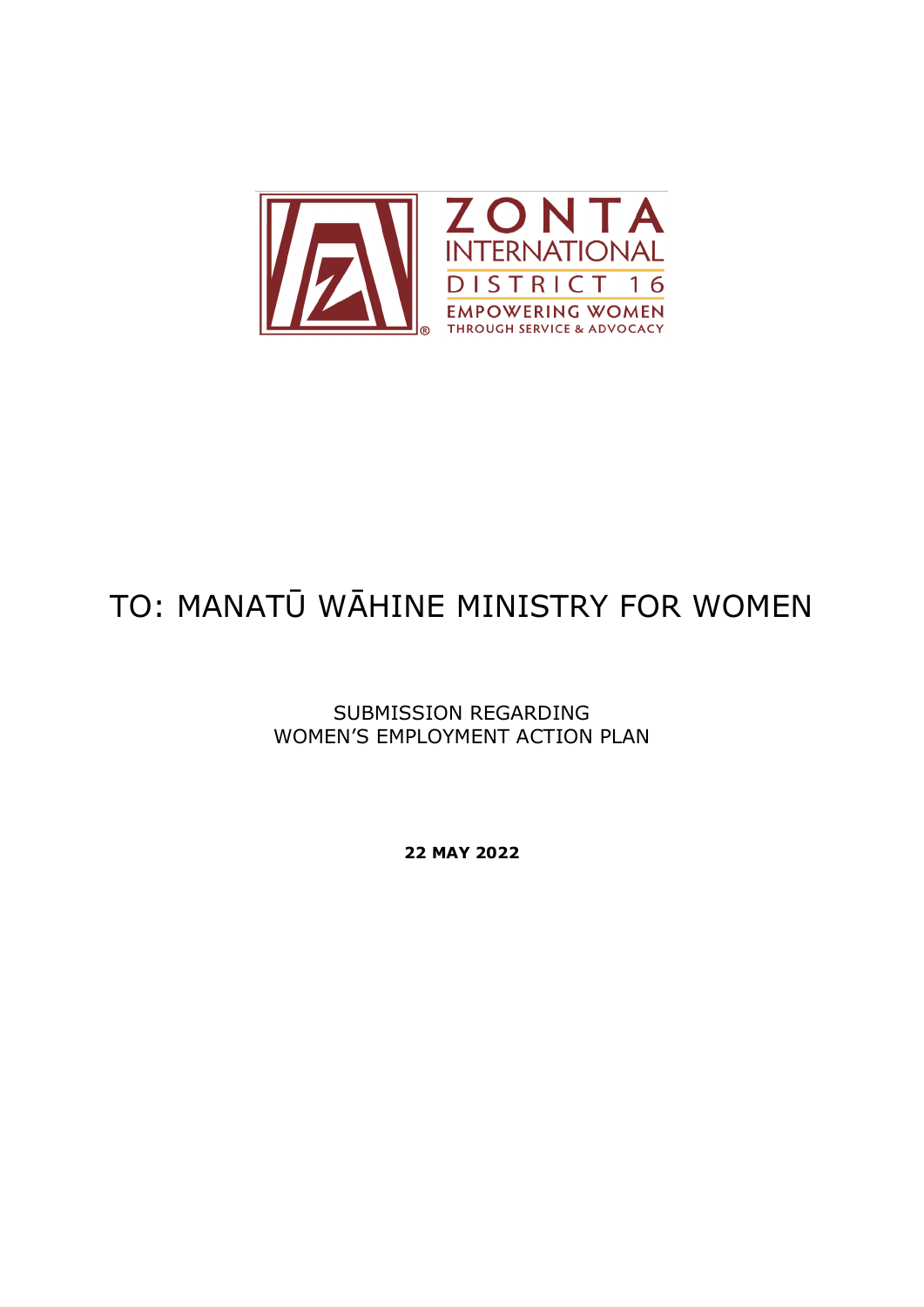

# TO: MANATŪ WĀHINE MINISTRY FOR WOMEN

SUBMISSION REGARDING WOMEN'S EMPLOYMENT ACTION PLAN

**22 MAY 2022**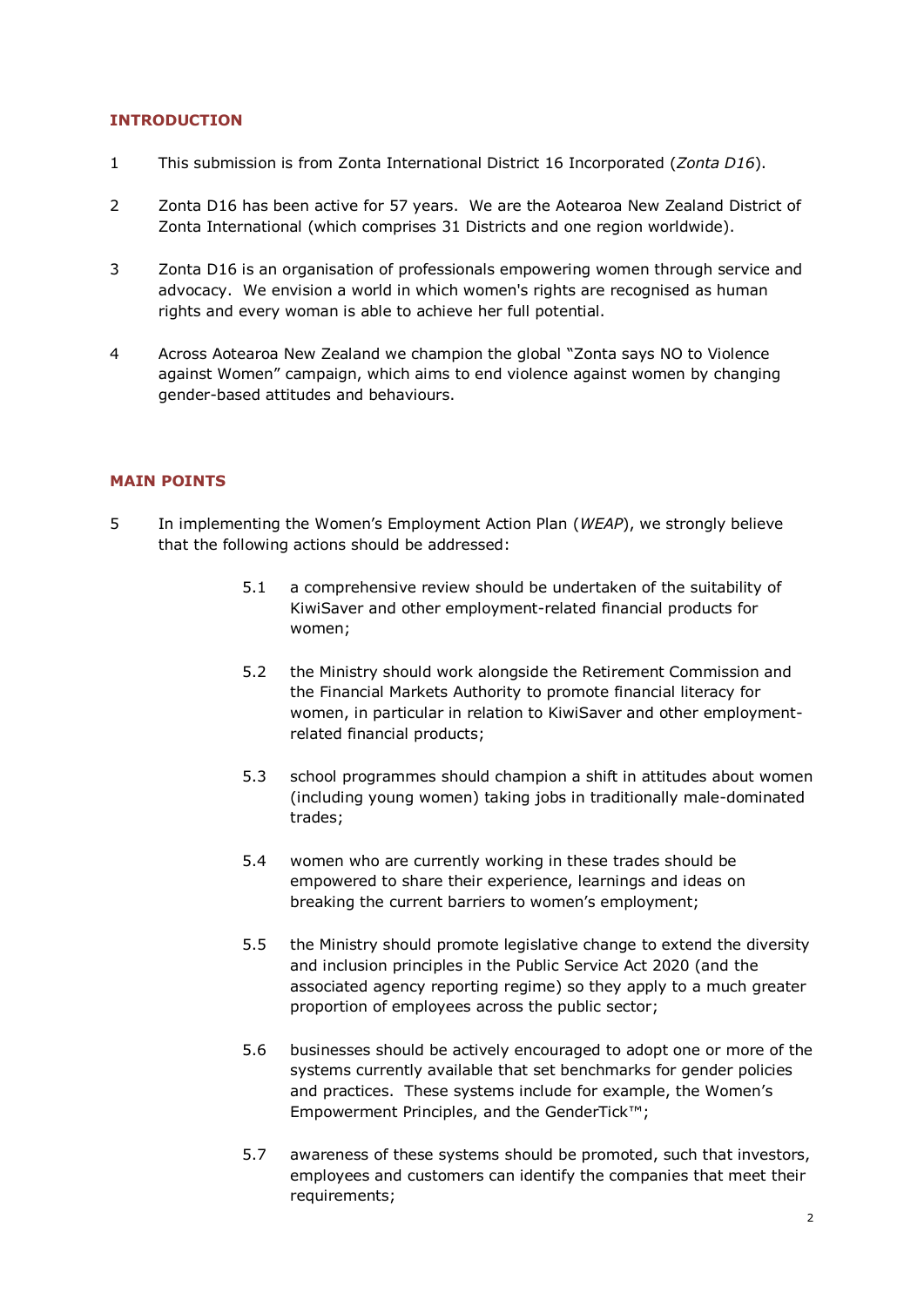# **INTRODUCTION**

- 1 This submission is from Zonta International District 16 Incorporated (*Zonta D16*).
- 2 Zonta D16 has been active for 57 years. We are the Aotearoa New Zealand District of Zonta International (which comprises 31 Districts and one region worldwide).
- 3 Zonta D16 is an organisation of professionals empowering women through service and advocacy. We envision a world in which women's rights are recognised as human rights and every woman is able to achieve her full potential.
- 4 Across Aotearoa New Zealand we champion the global "Zonta says NO to Violence against Women" campaign, which aims to end violence against women by changing gender-based attitudes and behaviours.

# **MAIN POINTS**

- 5 In implementing the Women's Employment Action Plan (*WEAP*), we strongly believe that the following actions should be addressed:
	- 5.1 a comprehensive review should be undertaken of the suitability of KiwiSaver and other employment-related financial products for women;
	- 5.2 the Ministry should work alongside the Retirement Commission and the Financial Markets Authority to promote financial literacy for women, in particular in relation to KiwiSaver and other employmentrelated financial products;
	- 5.3 school programmes should champion a shift in attitudes about women (including young women) taking jobs in traditionally male-dominated trades;
	- 5.4 women who are currently working in these trades should be empowered to share their experience, learnings and ideas on breaking the current barriers to women's employment;
	- 5.5 the Ministry should promote legislative change to extend the diversity and inclusion principles in the Public Service Act 2020 (and the associated agency reporting regime) so they apply to a much greater proportion of employees across the public sector;
	- 5.6 businesses should be actively encouraged to adopt one or more of the systems currently available that set benchmarks for gender policies and practices. These systems include for example, the Women's Empowerment Principles, and the GenderTick™;
	- 5.7 awareness of these systems should be promoted, such that investors, employees and customers can identify the companies that meet their requirements;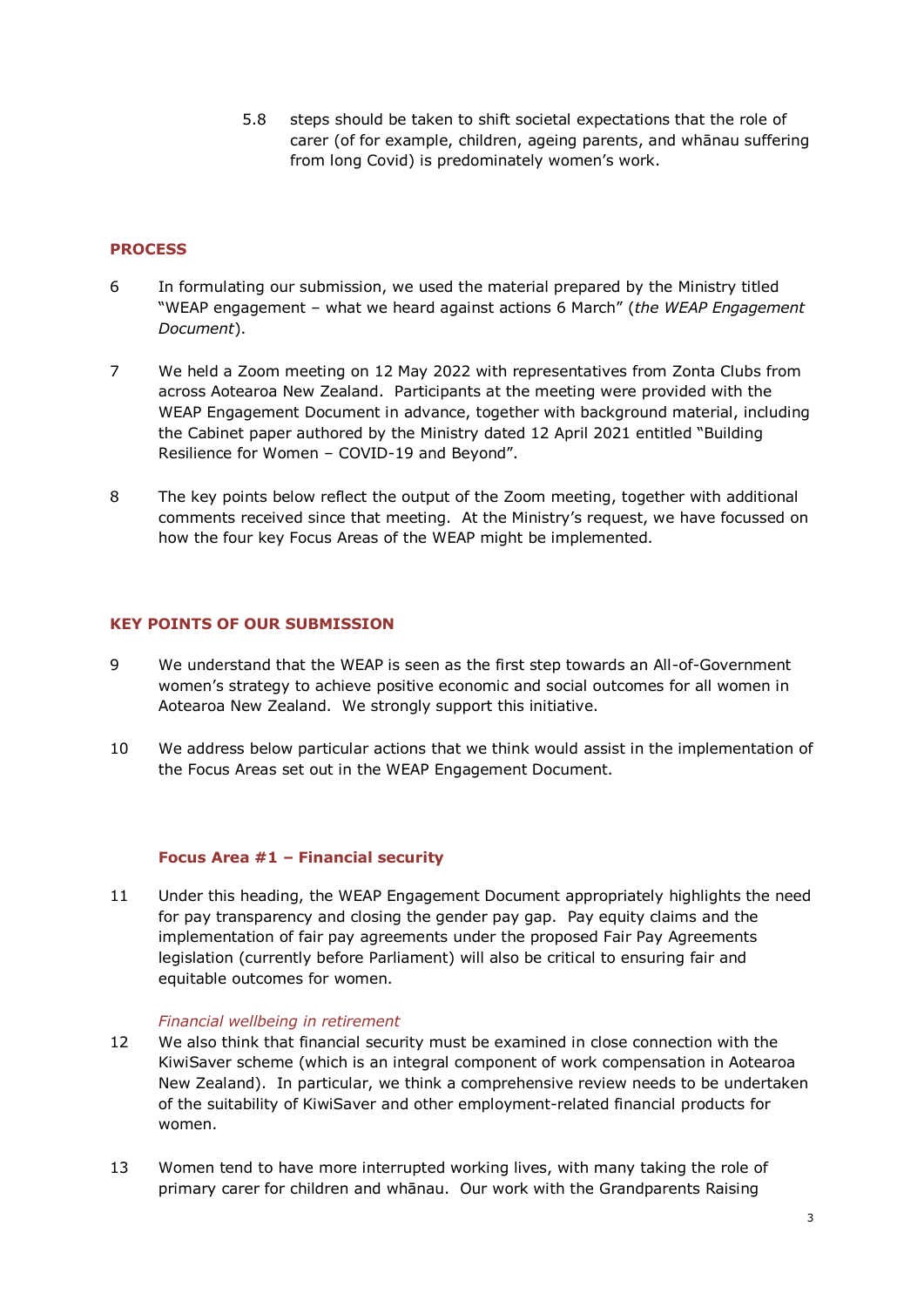5.8 steps should be taken to shift societal expectations that the role of carer (of for example, children, ageing parents, and whānau suffering from long Covid) is predominately women's work.

# **PROCESS**

- 6 In formulating our submission, we used the material prepared by the Ministry titled "WEAP engagement – what we heard against actions 6 March" (*the WEAP Engagement Document*).
- 7 We held a Zoom meeting on 12 May 2022 with representatives from Zonta Clubs from across Aotearoa New Zealand. Participants at the meeting were provided with the WEAP Engagement Document in advance, together with background material, including the Cabinet paper authored by the Ministry dated 12 April 2021 entitled "Building Resilience for Women – COVID-19 and Beyond".
- 8 The key points below reflect the output of the Zoom meeting, together with additional comments received since that meeting. At the Ministry's request, we have focussed on how the four key Focus Areas of the WEAP might be implemented.

## **KEY POINTS OF OUR SUBMISSION**

- 9 We understand that the WEAP is seen as the first step towards an All-of-Government women's strategy to achieve positive economic and social outcomes for all women in Aotearoa New Zealand. We strongly support this initiative.
- 10 We address below particular actions that we think would assist in the implementation of the Focus Areas set out in the WEAP Engagement Document.

## **Focus Area #1 – Financial security**

11 Under this heading, the WEAP Engagement Document appropriately highlights the need for pay transparency and closing the gender pay gap. Pay equity claims and the implementation of fair pay agreements under the proposed Fair Pay Agreements legislation (currently before Parliament) will also be critical to ensuring fair and equitable outcomes for women.

#### *Financial wellbeing in retirement*

- 12 We also think that financial security must be examined in close connection with the KiwiSaver scheme (which is an integral component of work compensation in Aotearoa New Zealand). In particular, we think a comprehensive review needs to be undertaken of the suitability of KiwiSaver and other employment-related financial products for women.
- 13 Women tend to have more interrupted working lives, with many taking the role of primary carer for children and whānau. Our work with the Grandparents Raising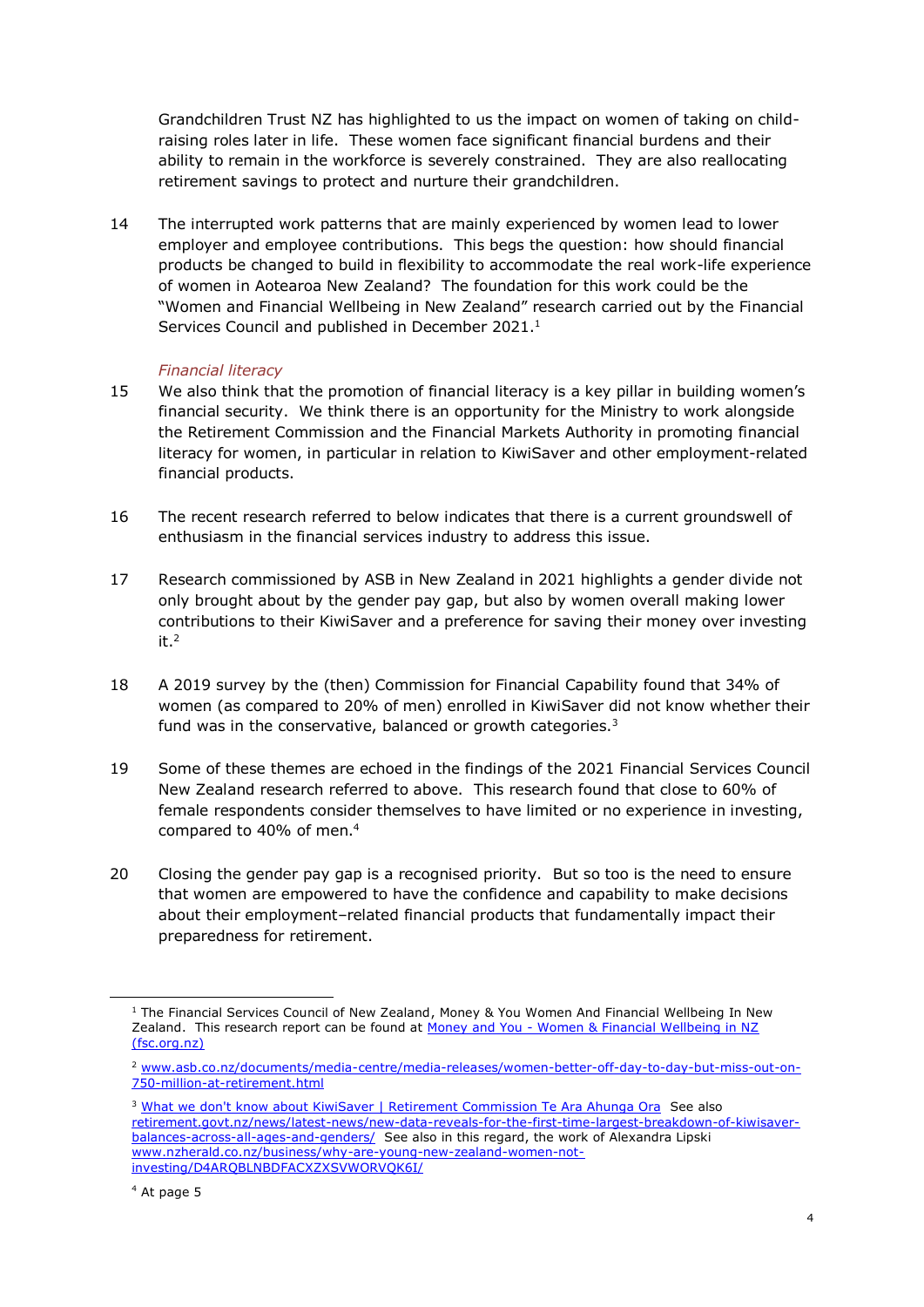Grandchildren Trust NZ has highlighted to us the impact on women of taking on childraising roles later in life. These women face significant financial burdens and their ability to remain in the workforce is severely constrained. They are also reallocating retirement savings to protect and nurture their grandchildren.

14 The interrupted work patterns that are mainly experienced by women lead to lower employer and employee contributions. This begs the question: how should financial products be changed to build in flexibility to accommodate the real work-life experience of women in Aotearoa New Zealand? The foundation for this work could be the "Women and Financial Wellbeing in New Zealand" research carried out by the Financial Services Council and published in December 2021.<sup>1</sup>

# *Financial literacy*

- 15 We also think that the promotion of financial literacy is a key pillar in building women's financial security. We think there is an opportunity for the Ministry to work alongside the Retirement Commission and the Financial Markets Authority in promoting financial literacy for women, in particular in relation to KiwiSaver and other employment-related financial products.
- 16 The recent research referred to below indicates that there is a current groundswell of enthusiasm in the financial services industry to address this issue.
- 17 Research commissioned by ASB in New Zealand in 2021 highlights a gender divide not only brought about by the gender pay gap, but also by women overall making lower contributions to their KiwiSaver and a preference for saving their money over investing it.<sup>2</sup>
- 18 A 2019 survey by the (then) Commission for Financial Capability found that 34% of women (as compared to 20% of men) enrolled in KiwiSaver did not know whether their fund was in the conservative, balanced or growth categories.<sup>3</sup>
- 19 Some of these themes are echoed in the findings of the 2021 Financial Services Council New Zealand research referred to above. This research found that close to 60% of female respondents consider themselves to have limited or no experience in investing, compared to 40% of men.<sup>4</sup>
- 20 Closing the gender pay gap is a recognised priority. But so too is the need to ensure that women are empowered to have the confidence and capability to make decisions about their employment–related financial products that fundamentally impact their preparedness for retirement.

 $1$  The Financial Services Council of New Zealand, Money & You Women And Financial Wellbeing In New Zealand. This research report can be found at Money and You - Women & Financial Wellbeing in NZ [\(fsc.org.nz\)](https://blog.fsc.org.nz/2021-research-women-and-financial-wellbeing)

<sup>2</sup> [www.asb.co.nz/documents/media-centre/media-releases/women-better-off-day-to-day-but-miss-out-on-](http://www.asb.co.nz/documents/media-centre/media-releases/women-better-off-day-to-day-but-miss-out-on-750-million-at-retirement.html)[750-million-at-retirement.html](http://www.asb.co.nz/documents/media-centre/media-releases/women-better-off-day-to-day-but-miss-out-on-750-million-at-retirement.html)

<sup>&</sup>lt;sup>3</sup> [What we don't know about KiwiSaver | Retirement Commission Te Ara Ahunga Ora](https://retirement.govt.nz/news/latest-news/what-we-dont-know-about-kiwisaver/) See also [retirement.govt.nz/news/latest-news/new-data-reveals-for-the-first-time-largest-breakdown-of-kiwisaver](https://retirement.govt.nz/news/latest-news/new-data-reveals-for-the-first-time-largest-breakdown-of-kiwisaver-balances-across-all-ages-and-genders/)[balances-across-all-ages-and-genders/](https://retirement.govt.nz/news/latest-news/new-data-reveals-for-the-first-time-largest-breakdown-of-kiwisaver-balances-across-all-ages-and-genders/) See also in this regard, the work of Alexandra Lipski [www.nzherald.co.nz/business/why-are-young-new-zealand-women-not](http://www.nzherald.co.nz/business/why-are-young-new-zealand-women-not-investing/D4ARQBLNBDFACXZXSVWORVQK6I/)[investing/D4ARQBLNBDFACXZXSVWORVQK6I/](http://www.nzherald.co.nz/business/why-are-young-new-zealand-women-not-investing/D4ARQBLNBDFACXZXSVWORVQK6I/)

<sup>4</sup> At page 5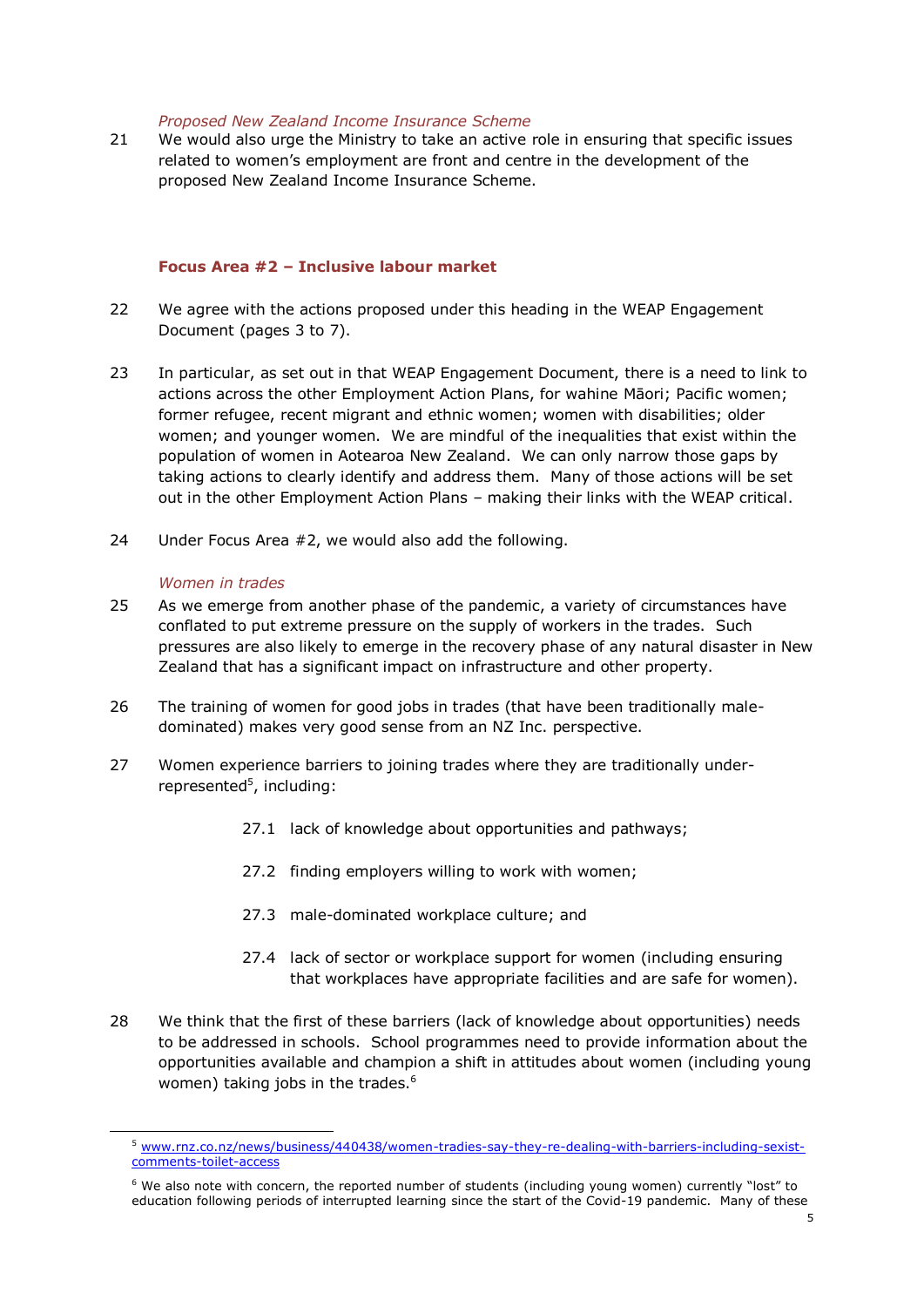#### *Proposed New Zealand Income Insurance Scheme*

21 We would also urge the Ministry to take an active role in ensuring that specific issues related to women's employment are front and centre in the development of the proposed New Zealand Income Insurance Scheme.

## **Focus Area #2 – Inclusive labour market**

- 22 We agree with the actions proposed under this heading in the WEAP Engagement Document (pages 3 to 7).
- 23 In particular, as set out in that WEAP Engagement Document, there is a need to link to actions across the other Employment Action Plans, for wahine Māori; Pacific women; former refugee, recent migrant and ethnic women; women with disabilities; older women; and younger women. We are mindful of the inequalities that exist within the population of women in Aotearoa New Zealand. We can only narrow those gaps by taking actions to clearly identify and address them. Many of those actions will be set out in the other Employment Action Plans – making their links with the WEAP critical.
- 24 Under Focus Area #2, we would also add the following.

#### *Women in trades*

- 25 As we emerge from another phase of the pandemic, a variety of circumstances have conflated to put extreme pressure on the supply of workers in the trades. Such pressures are also likely to emerge in the recovery phase of any natural disaster in New Zealand that has a significant impact on infrastructure and other property.
- 26 The training of women for good jobs in trades (that have been traditionally maledominated) makes very good sense from an NZ Inc. perspective.
- 27 Women experience barriers to joining trades where they are traditionally underrepresented<sup>5</sup>, including:
	- 27.1 lack of knowledge about opportunities and pathways;
	- 27.2 finding employers willing to work with women;
	- 27.3 male-dominated workplace culture; and
	- 27.4 lack of sector or workplace support for women (including ensuring that workplaces have appropriate facilities and are safe for women).
- 28 We think that the first of these barriers (lack of knowledge about opportunities) needs to be addressed in schools. School programmes need to provide information about the opportunities available and champion a shift in attitudes about women (including young women) taking jobs in the trades.<sup>6</sup>

<sup>5</sup> [www.rnz.co.nz/news/business/440438/women-tradies-say-they-re-dealing-with-barriers-including-sexist](http://www.rnz.co.nz/news/business/440438/women-tradies-say-they-re-dealing-with-barriers-including-sexist-comments-toilet-access)[comments-toilet-access](http://www.rnz.co.nz/news/business/440438/women-tradies-say-they-re-dealing-with-barriers-including-sexist-comments-toilet-access)

 $6$  We also note with concern, the reported number of students (including young women) currently "lost" to education following periods of interrupted learning since the start of the Covid-19 pandemic. Many of these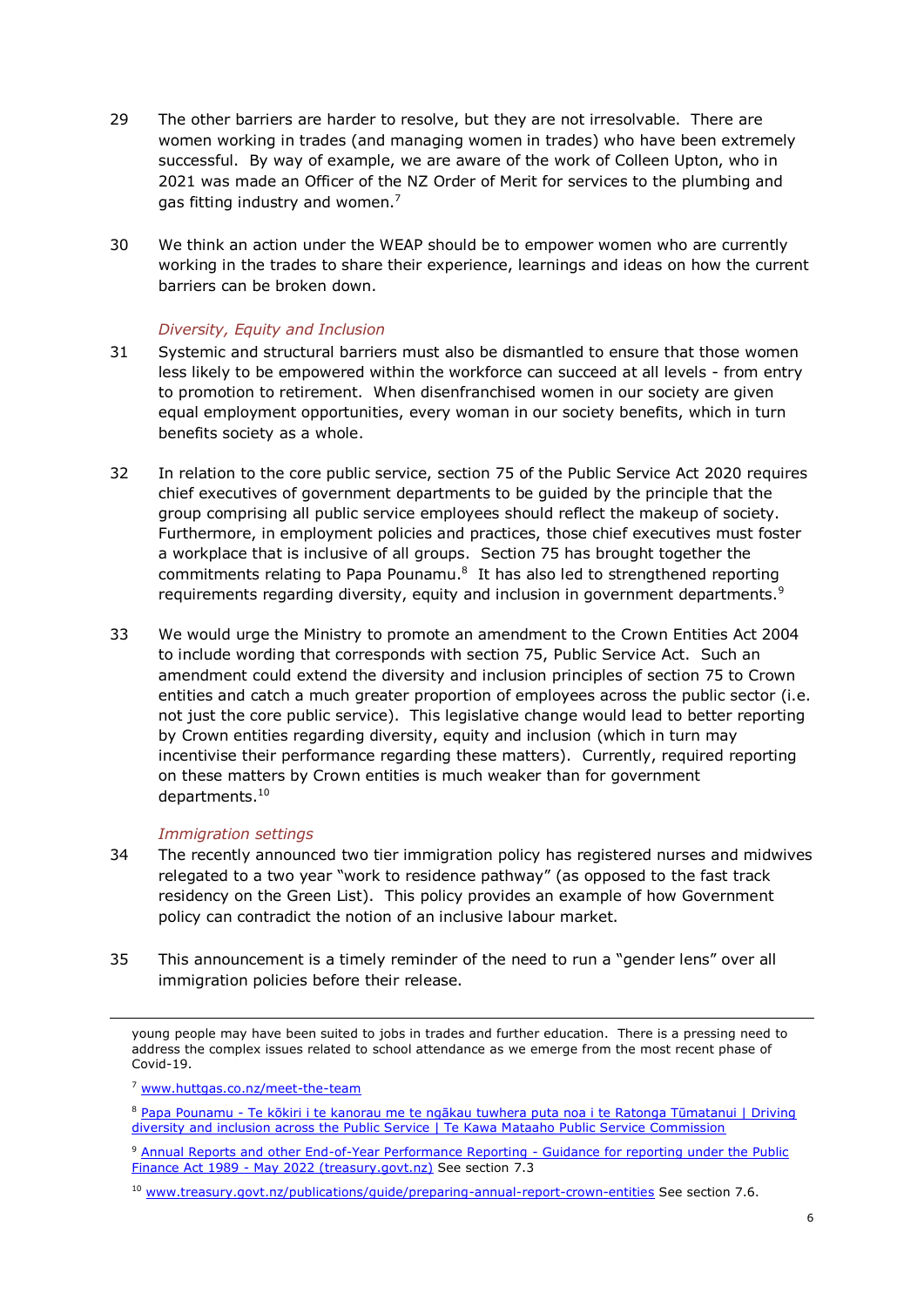- 29 The other barriers are harder to resolve, but they are not irresolvable. There are women working in trades (and managing women in trades) who have been extremely successful. By way of example, we are aware of the work of Colleen Upton, who in 2021 was made an Officer of the NZ Order of Merit for services to the plumbing and gas fitting industry and women. $7$
- 30 We think an action under the WEAP should be to empower women who are currently working in the trades to share their experience, learnings and ideas on how the current barriers can be broken down.

## *Diversity, Equity and Inclusion*

- 31 Systemic and structural barriers must also be dismantled to ensure that those women less likely to be empowered within the workforce can succeed at all levels - from entry to promotion to retirement. When disenfranchised women in our society are given equal employment opportunities, every woman in our society benefits, which in turn benefits society as a whole.
- 32 In relation to the core public service, section 75 of the Public Service Act 2020 requires chief executives of government departments to be guided by the principle that the group comprising all public service employees should reflect the makeup of society. Furthermore, in employment policies and practices, those chief executives must foster a workplace that is inclusive of all groups. Section 75 has brought together the commitments relating to Papa Pounamu. $8$  It has also led to strengthened reporting requirements regarding diversity, equity and inclusion in government departments.<sup>9</sup>
- 33 We would urge the Ministry to promote an amendment to the Crown Entities Act 2004 to include wording that corresponds with section 75, Public Service Act. Such an amendment could extend the diversity and inclusion principles of section 75 to Crown entities and catch a much greater proportion of employees across the public sector (i.e. not just the core public service). This legislative change would lead to better reporting by Crown entities regarding diversity, equity and inclusion (which in turn may incentivise their performance regarding these matters). Currently, required reporting on these matters by Crown entities is much weaker than for government departments.<sup>10</sup>

## *Immigration settings*

- 34 The recently announced two tier immigration policy has registered nurses and midwives relegated to a two year "work to residence pathway" (as opposed to the fast track residency on the Green List). This policy provides an example of how Government policy can contradict the notion of an inclusive labour market.
- 35 This announcement is a timely reminder of the need to run a "gender lens" over all immigration policies before their release.

young people may have been suited to jobs in trades and further education. There is a pressing need to address the complex issues related to school attendance as we emerge from the most recent phase of Covid-19.

<sup>7</sup> [www.huttgas.co.nz/meet-the-team](http://www.huttgas.co.nz/meet-the-team)

<sup>8</sup> Papa Pounamu - Te kōkiri i te kanorau me te ngākau tuwhera puta noa i te Ratonga Tūmatanui | Driving [diversity and inclusion across the Public Service | Te Kawa Mataaho Public Service Commission](https://www.publicservice.govt.nz/our-work/diversity-and-inclusion/papa-pounamu-driving-diversity-and-inclusion-across-the-public-service/)

<sup>&</sup>lt;sup>9</sup> [Annual Reports and other End-of-Year Performance Reporting -](https://www.treasury.govt.nz/sites/default/files/2022-04/2022-year-end-reporting-departments.pdf) Guidance for reporting under the Public Finance Act 1989 - [May 2022 \(treasury.govt.nz\)](https://www.treasury.govt.nz/sites/default/files/2022-04/2022-year-end-reporting-departments.pdf) See section 7.3

<sup>&</sup>lt;sup>10</sup> www.treasury.govt.nz/publications/quide/preparing-annual-report-crown-entities See section 7.6.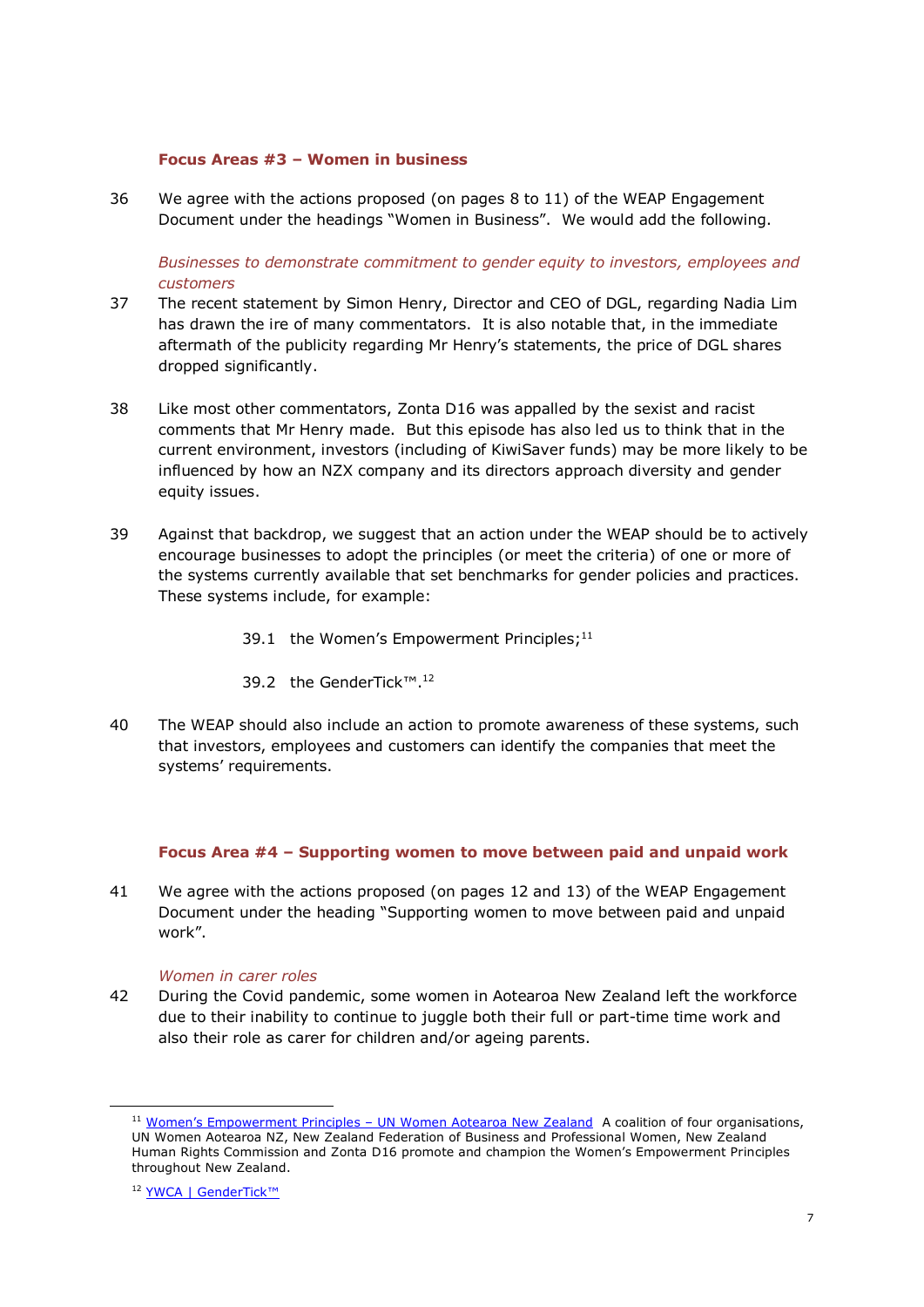#### **Focus Areas #3 – Women in business**

36 We agree with the actions proposed (on pages 8 to 11) of the WEAP Engagement Document under the headings "Women in Business". We would add the following.

*Businesses to demonstrate commitment to gender equity to investors, employees and customers*

- 37 The recent statement by Simon Henry, Director and CEO of DGL, regarding Nadia Lim has drawn the ire of many commentators. It is also notable that, in the immediate aftermath of the publicity regarding Mr Henry's statements, the price of DGL shares dropped significantly.
- 38 Like most other commentators, Zonta D16 was appalled by the sexist and racist comments that Mr Henry made. But this episode has also led us to think that in the current environment, investors (including of KiwiSaver funds) may be more likely to be influenced by how an NZX company and its directors approach diversity and gender equity issues.
- 39 Against that backdrop, we suggest that an action under the WEAP should be to actively encourage businesses to adopt the principles (or meet the criteria) of one or more of the systems currently available that set benchmarks for gender policies and practices. These systems include, for example:
	- 39.1 the Women's Empowerment Principles; $11$
	- 39.2 the GenderTick™. 12
- 40 The WEAP should also include an action to promote awareness of these systems, such that investors, employees and customers can identify the companies that meet the systems' requirements.

## **Focus Area #4 – Supporting women to move between paid and unpaid work**

41 We agree with the actions proposed (on pages 12 and 13) of the WEAP Engagement Document under the heading "Supporting women to move between paid and unpaid work".

#### *Women in carer roles*

42 During the Covid pandemic, some women in Aotearoa New Zealand left the workforce due to their inability to continue to juggle both their full or part-time time work and also their role as carer for children and/or ageing parents.

<sup>&</sup>lt;sup>11</sup> Women's Empowerment Principles – [UN Women Aotearoa New Zealand](https://unwomen.org.nz/womens-empowerment-principles/) A coalition of four organisations, UN Women Aotearoa NZ, New Zealand Federation of Business and Professional Women, New Zealand Human Rights Commission and Zonta D16 promote and champion the Women's Empowerment Principles throughout New Zealand.

<sup>&</sup>lt;sup>12</sup> [YWCA | GenderTick™](https://www.ywca.org.nz/workplace/gendertick/)